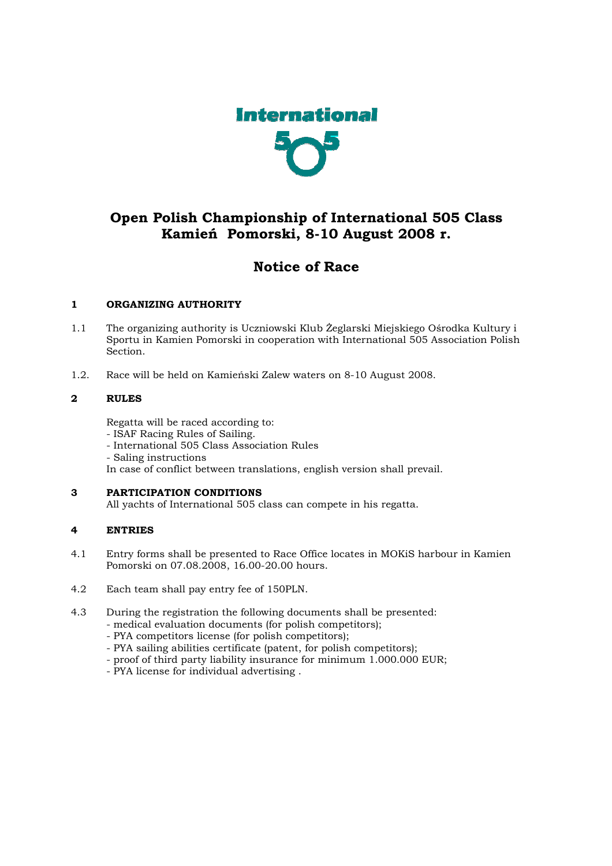

# Open Polish Championship of International 505 Class Kamień Pomorski, 8-10 August 2008 r.

# Notice of Race

# 1 ORGANIZING AUTHORITY

- 1.1 The organizing authority is Uczniowski Klub Żeglarski Miejskiego Ośrodka Kultury i Sportu in Kamien Pomorski in cooperation with International 505 Association Polish Section.
- 1.2. Race will be held on Kamieński Zalew waters on 8-10 August 2008.

# 2 RULES

Regatta will be raced according to:

- ISAF Racing Rules of Sailing.
- International 505 Class Association Rules
- Saling instructions

In case of conflict between translations, english version shall prevail.

# 3 PARTICIPATION CONDITIONS

All yachts of International 505 class can compete in his regatta.

# 4 ENTRIES

- 4.1 Entry forms shall be presented to Race Office locates in MOKiS harbour in Kamien Pomorski on 07.08.2008, 16.00-20.00 hours.
- 4.2 Each team shall pay entry fee of 150PLN.
- 4.3 During the registration the following documents shall be presented:
	- medical evaluation documents (for polish competitors);
	- PYA competitors license (for polish competitors);
	- PYA sailing abilities certificate (patent, for polish competitors);
	- proof of third party liability insurance for minimum 1.000.000 EUR;
	- PYA license for individual advertising .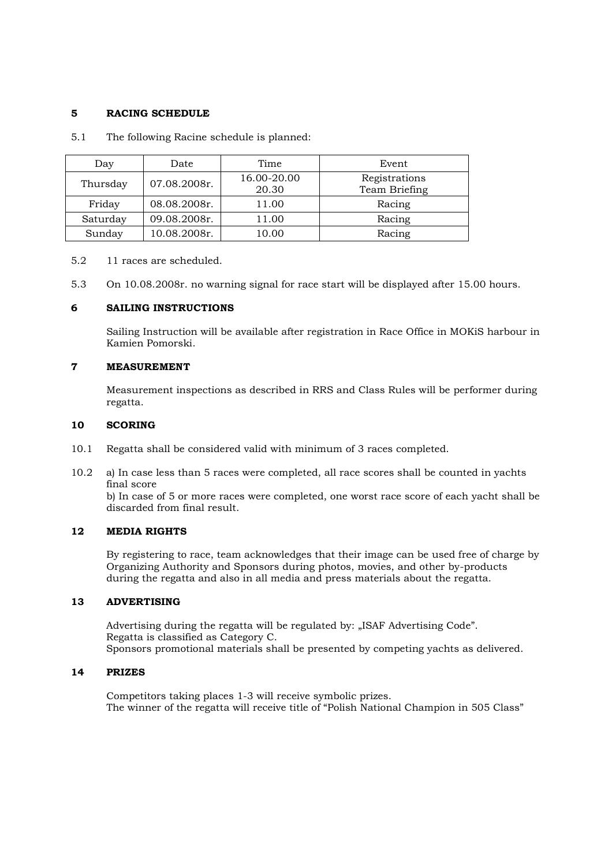## 5 RACING SCHEDULE

5.1 The following Racine schedule is planned:

| Day      | Date         | Time                 | Event                          |
|----------|--------------|----------------------|--------------------------------|
| Thursday | 07.08.2008r. | 16.00-20.00<br>20.30 | Registrations<br>Team Briefing |
| Friday   | 08.08.2008r. | 11.00                | Racing                         |
| Saturday | 09.08.2008r. | 11.00                | Racing                         |
| Sunday   | 10.08.2008r. | 10.00                | Racing                         |

5.2 11 races are scheduled.

5.3 On 10.08.2008r. no warning signal for race start will be displayed after 15.00 hours.

#### 6 SAILING INSTRUCTIONS

Sailing Instruction will be available after registration in Race Office in MOKiS harbour in Kamien Pomorski.

## 7 MEASUREMENT

Measurement inspections as described in RRS and Class Rules will be performer during regatta.

## 10 SCORING

- 10.1 Regatta shall be considered valid with minimum of 3 races completed.
- 10.2 a) In case less than 5 races were completed, all race scores shall be counted in yachts final score

b) In case of 5 or more races were completed, one worst race score of each yacht shall be discarded from final result.

#### 12 MEDIA RIGHTS

By registering to race, team acknowledges that their image can be used free of charge by Organizing Authority and Sponsors during photos, movies, and other by-products during the regatta and also in all media and press materials about the regatta.

# 13 ADVERTISING

Advertising during the regatta will be regulated by: "ISAF Advertising Code". Regatta is classified as Category C. Sponsors promotional materials shall be presented by competing yachts as delivered.

#### 14 PRIZES

Competitors taking places 1-3 will receive symbolic prizes. The winner of the regatta will receive title of "Polish National Champion in 505 Class"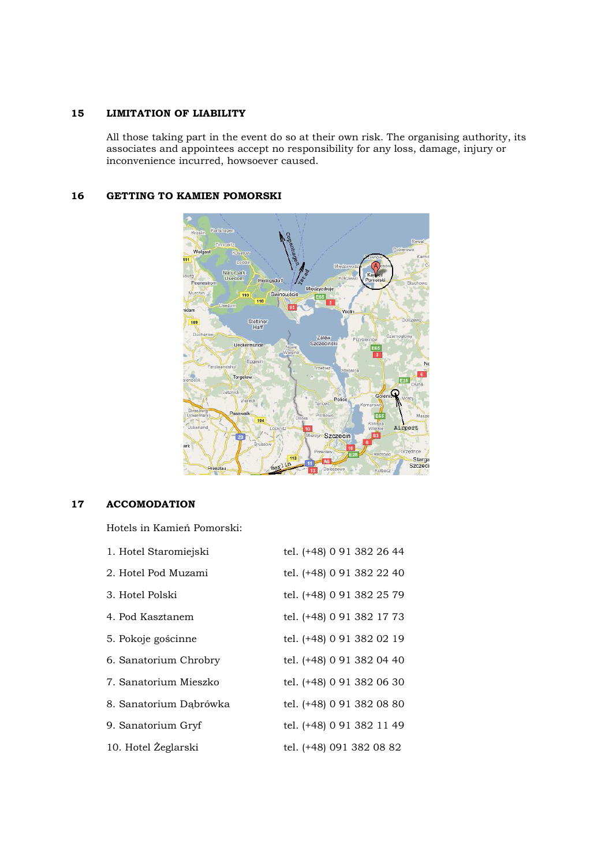## 15 LIMITATION OF LIABILITY

All those taking part in the event do so at their own risk. The organising authority, its associates and appointees accept no responsibility for any loss, damage, injury or inconvenience incurred, howsoever caused.

## 16 GETTING TO KAMIEN POMORSKI



# 17 ACCOMODATION

Hotels in Kamień Pomorski:

| 1. Hotel Staromiejski  | tel. (+48) 0 91 382 26 44 |
|------------------------|---------------------------|
| 2. Hotel Pod Muzami    | tel. (+48) 0 91 382 22 40 |
| 3. Hotel Polski        | tel. (+48) 0 91 382 25 79 |
| 4. Pod Kasztanem       | tel. (+48) 0 91 382 17 73 |
| 5. Pokoje gościnne     | tel. (+48) 0 91 382 02 19 |
| 6. Sanatorium Chrobry  | tel. (+48) 0 91 382 04 40 |
| 7. Sanatorium Mieszko  | tel. (+48) 0 91 382 06 30 |
| 8. Sanatorium Dabrówka | tel. (+48) 0 91 382 08 80 |
| 9. Sanatorium Gryf     | tel. (+48) 0 91 382 11 49 |
| 10. Hotel Żeglarski    | tel. (+48) 091 382 08 82  |